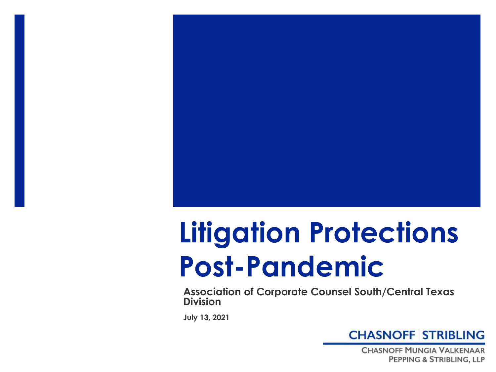

## **Litigation Protections Post-Pandemic**

**Association of Corporate Counsel South/Central Texas Division**

**July 13, 2021**

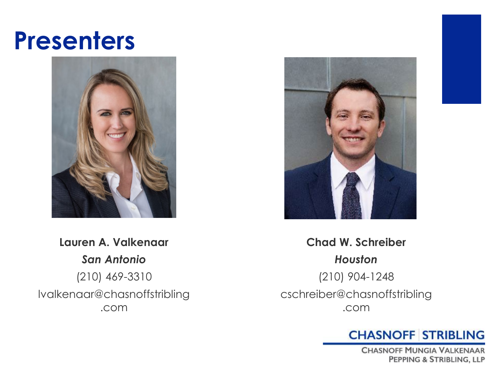### **Presenters**





**Lauren A. Valkenaar** *San Antonio* (210) 469-3310 lvalkenaar@chasnoffstribling .com

**Chad W. Schreiber** *Houston* (210) 904-1248 cschreiber@chasnoffstribling .com

#### **CHASNOFF STRIBLING**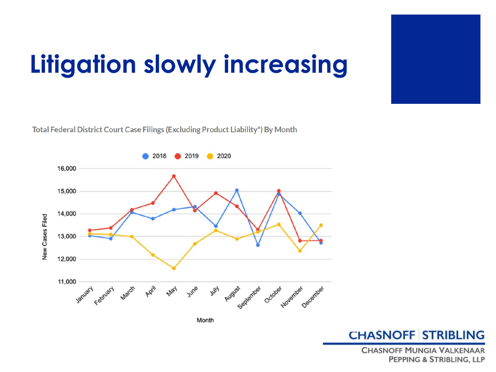## **Litigation slowly increasing**

Total Federal District Court Case Filings (Excluding Product Liability\*) By Month



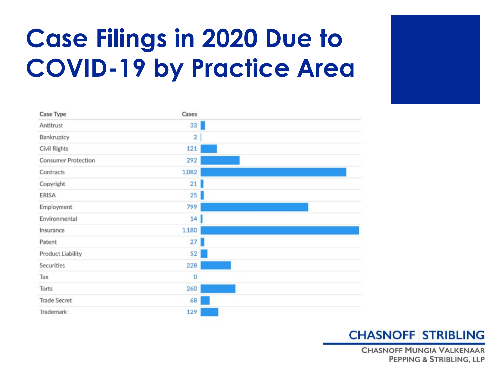## **Case Filings in 2020 Due to COVID-19 by Practice Area**

| Case Type                  | Cases          |  |
|----------------------------|----------------|--|
| Antitrust                  | 33             |  |
| Bankruptcy                 | $\overline{2}$ |  |
| Civil Rights               | 121            |  |
| <b>Consumer Protection</b> | 292            |  |
| Contracts                  | 1,082          |  |
| Copyright                  | 21             |  |
| ERISA                      | 25             |  |
| Employment                 | 799            |  |
| Environmental              | 14             |  |
| Insurance                  | 1,180          |  |
| Patent                     | 27             |  |
| Product Liability          | 52             |  |
| Securities                 | 228            |  |
| Tax                        | $\circ$        |  |
| Torts                      | 260            |  |
| <b>Trade Secret</b>        | 68             |  |
| Trademark                  | 129            |  |



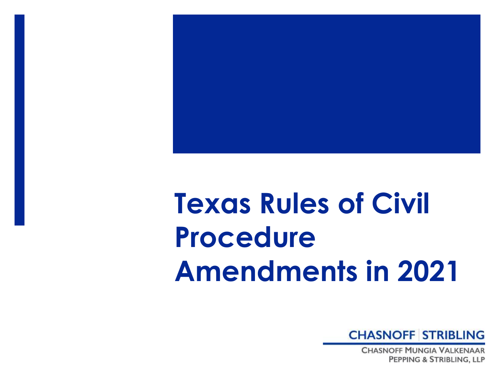

## **Texas Rules of Civil Procedure Amendments in 2021**

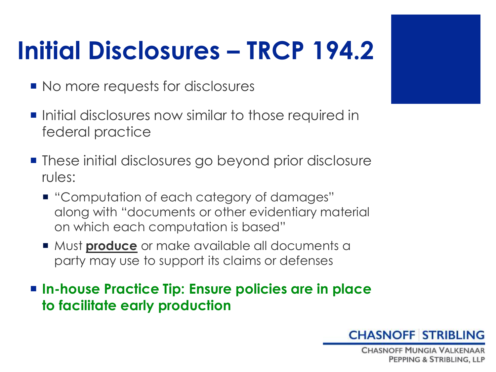## **Initial Disclosures – TRCP 194.2**

- $\blacksquare$  No more requests for disclosures
- **Initial disclosures now similar to those required in** federal practice
- **These initial disclosures go beyond prior disclosure** rules:
	- "Computation of each category of damages" along with "documents or other evidentiary material on which each computation is based"
	- Must **produce** or make available all documents a party may use to support its claims or defenses

#### **In-house Practice Tip: Ensure policies are in place to facilitate early production**

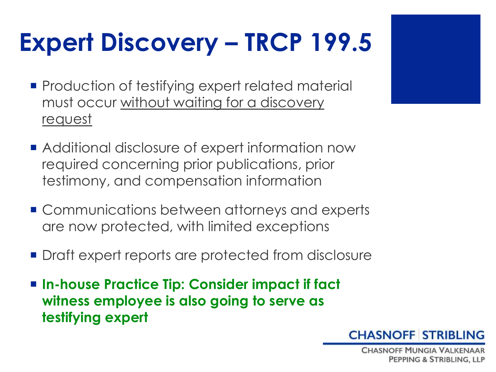## **Expert Discovery – TRCP 199.5**

- **Production of testifying expert related material** must occur without waiting for a discovery request
- Additional disclosure of expert information now required concerning prior publications, prior testimony, and compensation information
- **Communications between attorneys and experts** are now protected, with limited exceptions
- **Draft expert reports are protected from disclosure**
- **In-house Practice Tip: Consider impact if fact witness employee is also going to serve as testifying expert**

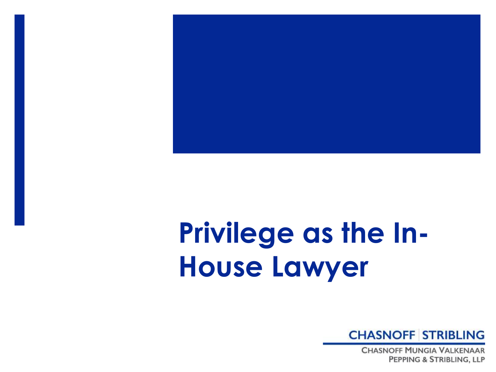

## **Privilege as the In-House Lawyer**

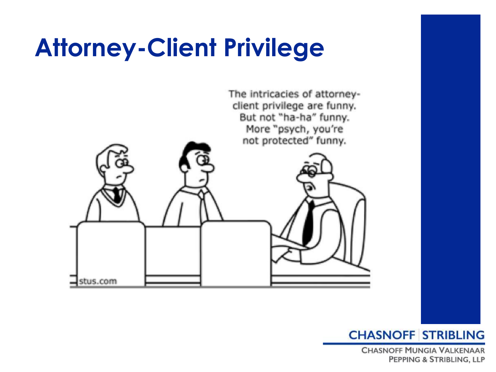## **Attorney-Client Privilege**



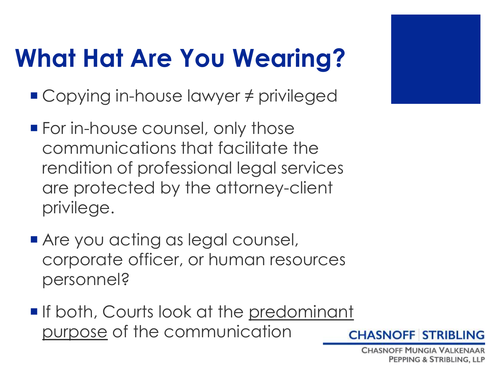## **What Hat Are You Wearing?**

- Copying in-house lawyer ≠ privileged
- **For in-house counsel, only those** communications that facilitate the rendition of professional legal services are protected by the attorney-client privilege.
- **Are you acting as legal counsel,** corporate officer, or human resources personnel?
- **If both, Courts look at the predominant** purpose of the communication



**CHASNOFF STRIBLING**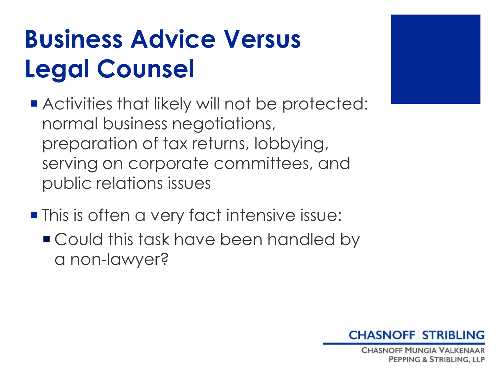## **Business Advice Versus Legal Counsel**

**Exercive** Activities that likely will not be protected: normal business negotiations, preparation of tax returns, lobbying, serving on corporate committees, and public relations issues

- **This is often a very fact intensive issue:** 
	- **Could this task have been handled by** a non-lawyer?



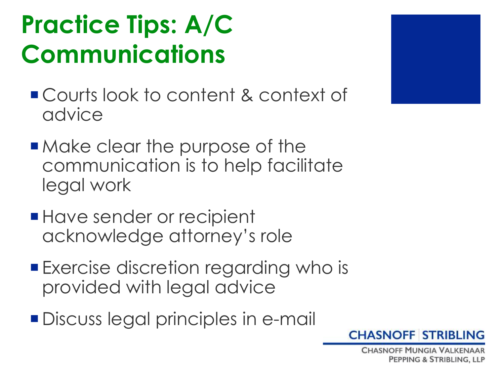## **Practice Tips: A/C Communications**

- Courts look to content & context of advice
- Make clear the purpose of the communication is to help facilitate legal work
- **Have sender or recipient** acknowledge attorney's role
- **Exercise discretion regarding who is** provided with legal advice
- Discuss legal principles in e-mail



**CHASNOFF STRIBLING**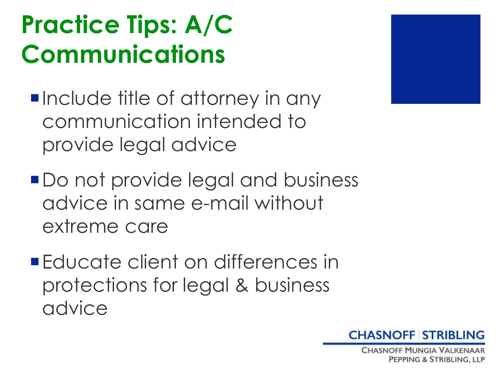## **Practice Tips: A/C Communications**

**Include title of attorney in any** communication intended to provide legal advice

■ Do not provide legal and business advice in same e-mail without extreme care

**Educate client on differences in** protections for legal & business advice



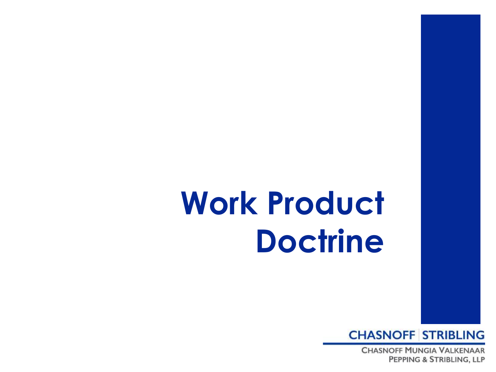# Work Product **Doctrine**

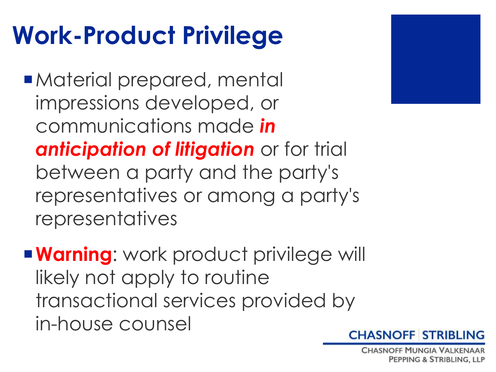## **Work-Product Privilege**

■ Material prepared, mental impressions developed, or communications made *in anticipation of litigation* or for trial between a party and the party's representatives or among a party's representatives

**Warning:** work product privilege will likely not apply to routine transactional services provided by in-house counsel



**CHASNOFF STRIBLING**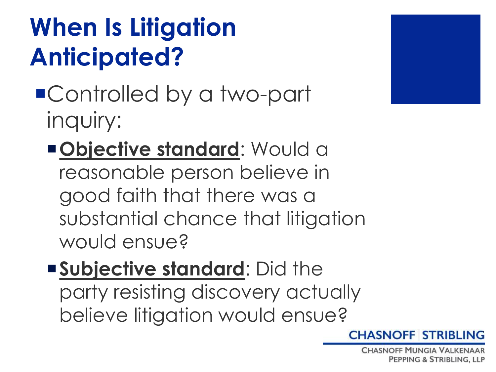## **When Is Litigation Anticipated?**

- ■Controlled by a two-part inquiry:
	- **Objective standard**: Would a reasonable person believe in good faith that there was a substantial chance that litigation would ensue?
	- **Subjective standard:** Did the party resisting discovery actually believe litigation would ensue?



**CHASNOFF STRIBLING**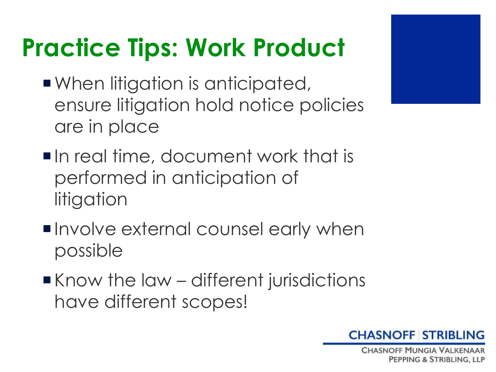## **Practice Tips: Work Product**

- When litigation is anticipated, ensure litigation hold notice policies are in place
- In real time, document work that is performed in anticipation of litigation
- **Involve external counsel early when** possible
- ■Know the law different jurisdictions have different scopes!



#### **CHASNOFF STRIBLING**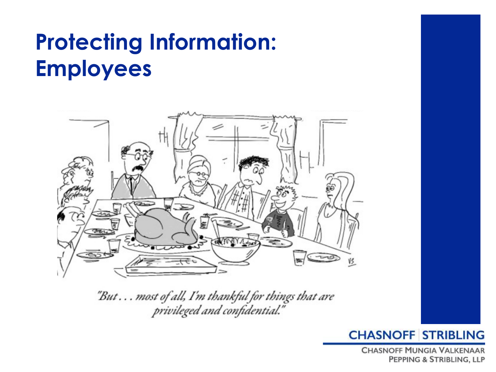### **Protecting Information: Employees**



"But... most of all, I'm thankful for things that are<br>privileged and confidential."

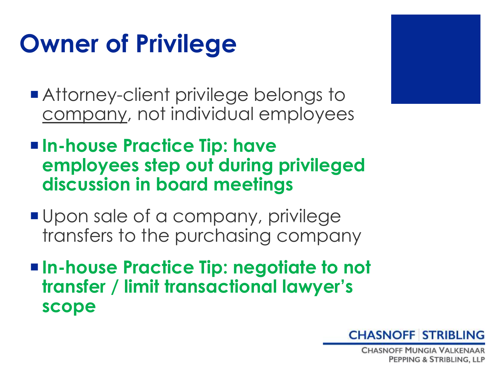## **Owner of Privilege**

- Attorney-client privilege belongs to company, not individual employees
- **In-house Practice Tip: have employees step out during privileged discussion in board meetings**
- **Upon sale of a company, privilege** transfers to the purchasing company
- **In-house Practice Tip: negotiate to not transfer / limit transactional lawyer's scope**



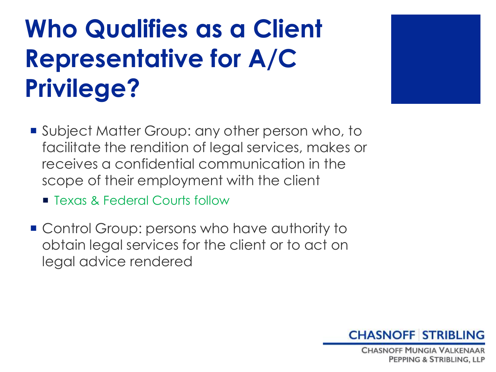## **Who Qualifies as a Client Representative for A/C Privilege?**



- **Subject Matter Group: any other person who, to** facilitate the rendition of legal services, makes or receives a confidential communication in the scope of their employment with the client
	- **Texas & Federal Courts follow**
- Control Group: persons who have authority to obtain legal services for the client or to act on legal advice rendered

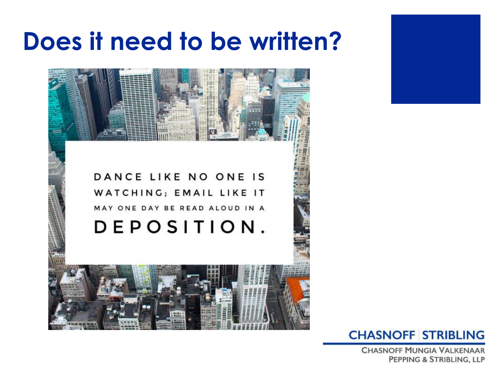## **Does it need to be written?**



DANCE LIKE NO ONE IS WATCHING; EMAIL LIKE IT MAY ONE DAY BE READ ALOUD IN A

### DEPOSITION.



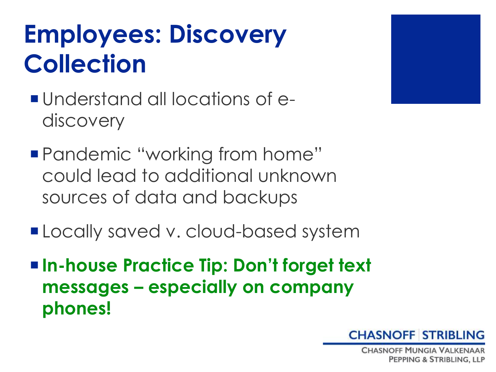## **Employees: Discovery Collection**

- Understand all locations of ediscovery
- **Pandemic "working from home"** could lead to additional unknown sources of data and backups
- **Locally saved v. cloud-based system**
- **In-house Practice Tip: Don't forget text messages – especially on company phones!**



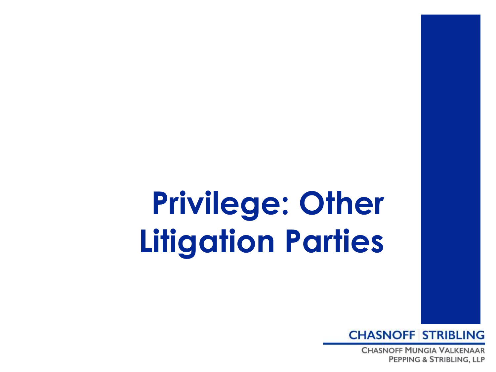## **Privilege: Other Litigation Parties**

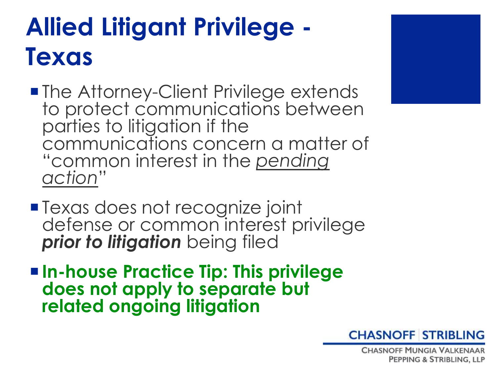## **Allied Litigant Privilege - Texas**

- The Attorney-Client Privilege extends to protect communications between parties to litigation if the communications concern a matter of "common interest in the *pending action*"
- **Texas does not recognize joint** defense or common interest privilege *prior to litigation* being filed
- **In-house Practice Tip: This privilege does not apply to separate but related ongoing litigation**



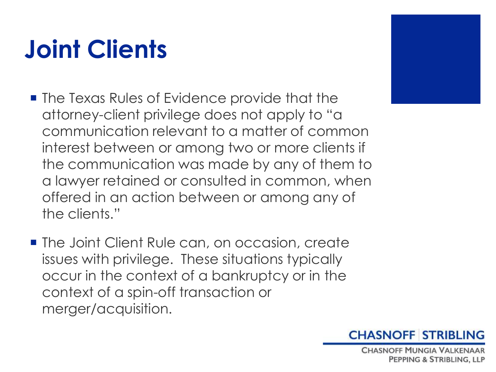## **Joint Clients**

- **The Texas Rules of Evidence provide that the** attorney-client privilege does not apply to "a communication relevant to a matter of common interest between or among two or more clients if the communication was made by any of them to a lawyer retained or consulted in common, when offered in an action between or among any of the clients."
- **The Joint Client Rule can, on occasion, create** issues with privilege. These situations typically occur in the context of a bankruptcy or in the context of a spin-off transaction or merger/acquisition.



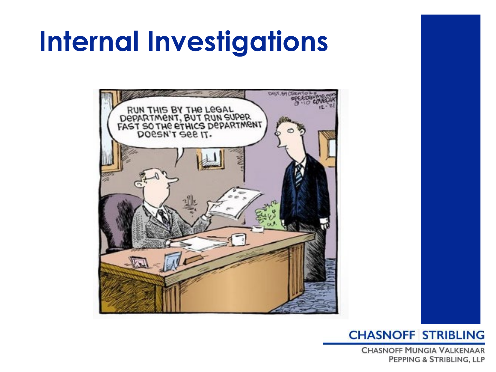## **Internal Investigations**



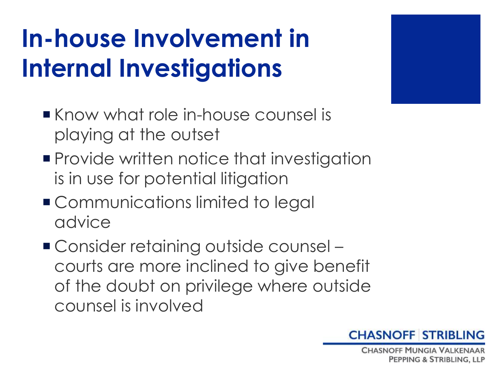## **In-house Involvement in Internal Investigations**

- **K** Know what role in-house counsel is playing at the outset
- **Provide written notice that investigation** is in use for potential litigation
- **Communications limited to legal** advice
- Consider retaining outside counsel courts are more inclined to give benefit of the doubt on privilege where outside counsel is involved



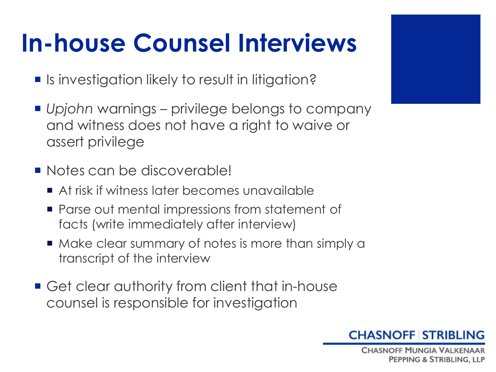## **In-house Counsel Interviews**

- **Iomi** Is investigation likely to result in litigation?
- *Upjohn* warnings privilege belongs to company and witness does not have a right to waive or assert privilege
- **Notes can be discoverable!** 
	- At risk if witness later becomes unavailable
	- **Parse out mental impressions from statement of** facts (write immediately after interview)
	- **Make clear summary of notes is more than simply a** transcript of the interview
- Get clear authority from client that in-house counsel is responsible for investigation



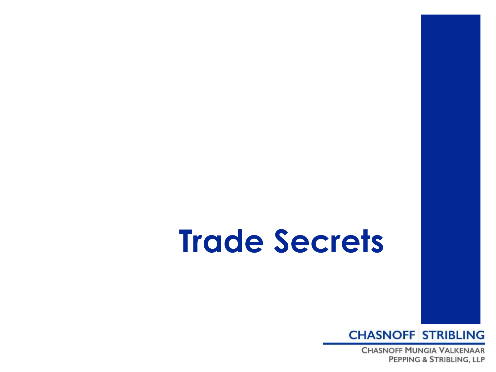## **Trade Secrets**

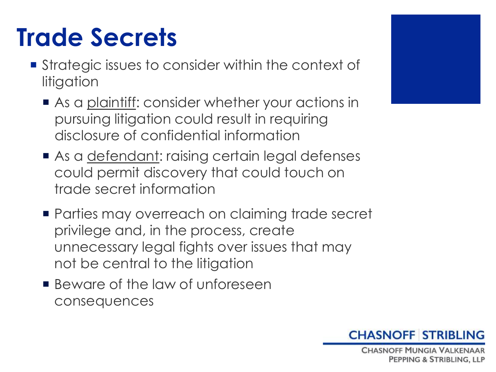## **Trade Secrets**

- **Strategic issues to consider within the context of** litigation
	- As a plaintiff: consider whether your actions in pursuing litigation could result in requiring disclosure of confidential information
	- As a <u>defendant</u>: raising certain legal defenses could permit discovery that could touch on trade secret information
	- **Parties may overreach on claiming trade secret** privilege and, in the process, create unnecessary legal fights over issues that may not be central to the litigation
	- **Beware of the law of unforeseen** consequences



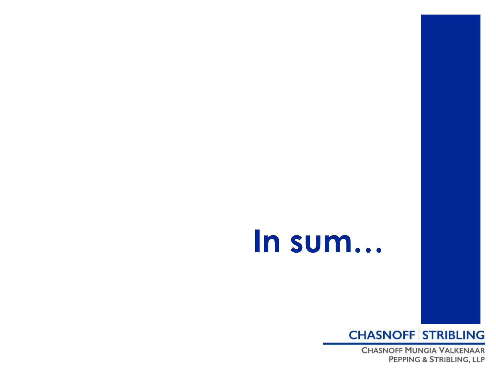## **In sum…**

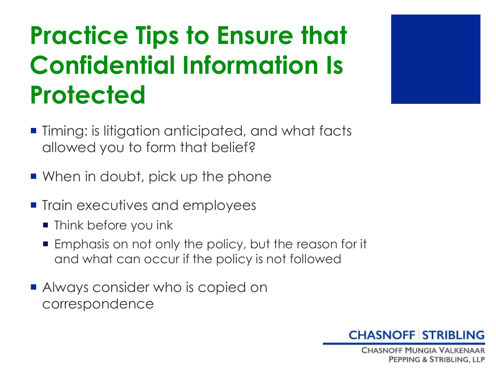## **Practice Tips to Ensure that Confidential Information Is Protected**

- **Timing: is litigation anticipated, and what facts** allowed you to form that belief?
- When in doubt, pick up the phone
- **Train executives and employees** 
	- Think before you ink
	- **Emphasis on not only the policy, but the reason for it** and what can occur if the policy is not followed
- **Always consider who is copied on** correspondence

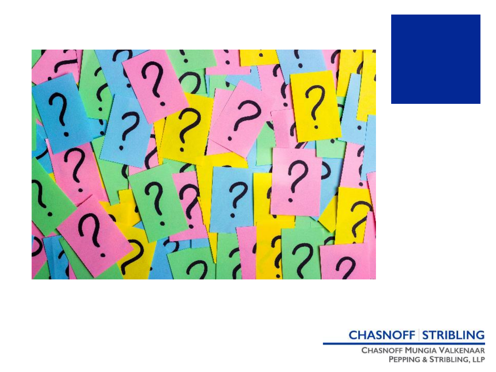